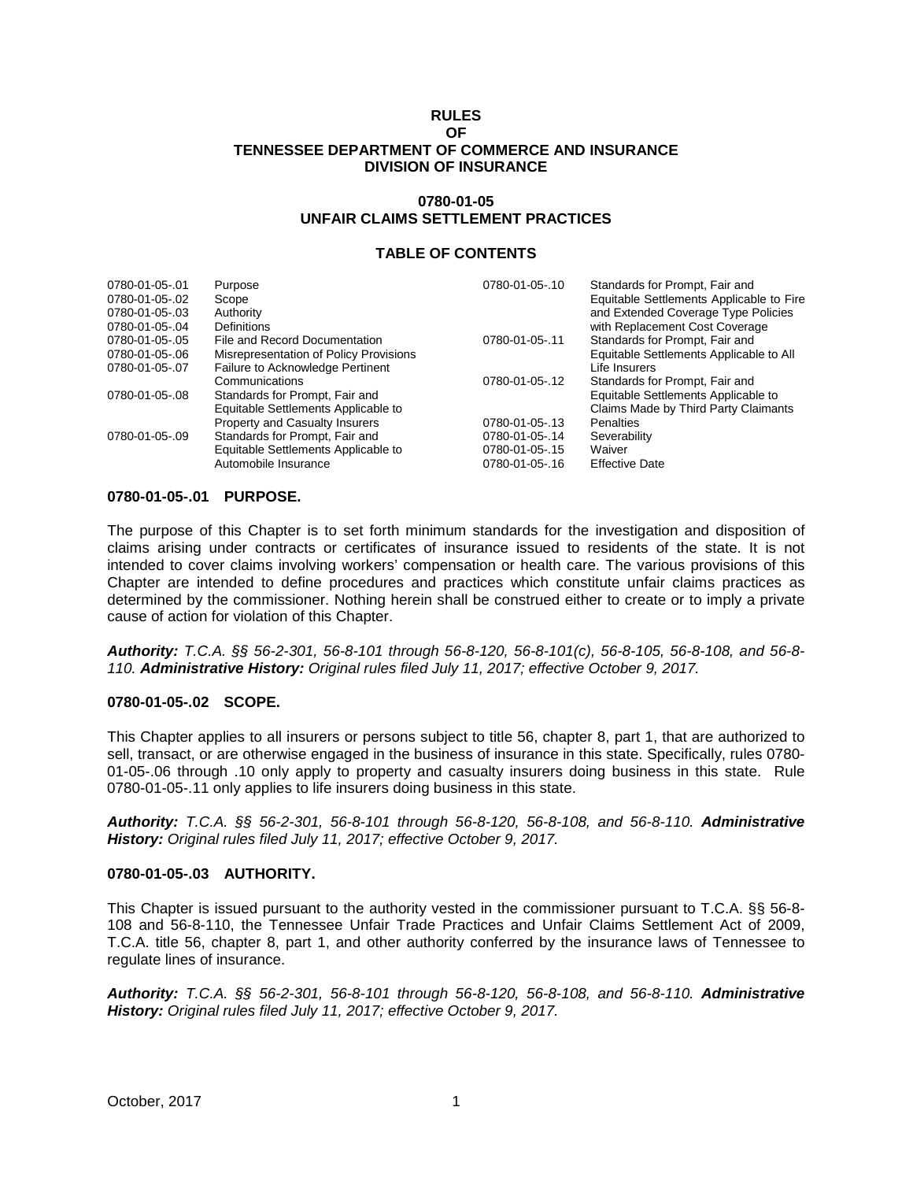#### **RULES OF TENNESSEE DEPARTMENT OF COMMERCE AND INSURANCE DIVISION OF INSURANCE**

### **0780-01-05 UNFAIR CLAIMS SETTLEMENT PRACTICES**

#### **TABLE OF CONTENTS**

| 0780-01-05-.01<br>0780-01-05-.02<br>0780-01-05-.03 | Purpose<br>Scope<br>Authority                | 0780-01-05-.10 | Standards for Prompt, Fair and<br>Equitable Settlements Applicable to Fire<br>and Extended Coverage Type Policies |
|----------------------------------------------------|----------------------------------------------|----------------|-------------------------------------------------------------------------------------------------------------------|
| 0780-01-05-.04<br>0780-01-05-.05                   | Definitions<br>File and Record Documentation | 0780-01-05-.11 | with Replacement Cost Coverage<br>Standards for Prompt, Fair and                                                  |
| 0780-01-05-.06                                     | Misrepresentation of Policy Provisions       |                | Equitable Settlements Applicable to All                                                                           |
| 0780-01-05-.07                                     | Failure to Acknowledge Pertinent             |                | Life Insurers                                                                                                     |
|                                                    | Communications                               | 0780-01-05-.12 | Standards for Prompt, Fair and                                                                                    |
| 0780-01-05-.08                                     | Standards for Prompt, Fair and               |                | Equitable Settlements Applicable to                                                                               |
|                                                    | Equitable Settlements Applicable to          |                | Claims Made by Third Party Claimants                                                                              |
|                                                    | <b>Property and Casualty Insurers</b>        | 0780-01-05-.13 | Penalties                                                                                                         |
| 0780-01-05-.09                                     | Standards for Prompt, Fair and               | 0780-01-05-.14 | Severability                                                                                                      |
|                                                    | Equitable Settlements Applicable to          | 0780-01-05-.15 | Waiver                                                                                                            |
|                                                    | Automobile Insurance                         | 0780-01-05-.16 | <b>Effective Date</b>                                                                                             |

#### **0780-01-05-.01 PURPOSE.**

The purpose of this Chapter is to set forth minimum standards for the investigation and disposition of claims arising under contracts or certificates of insurance issued to residents of the state. It is not intended to cover claims involving workers' compensation or health care. The various provisions of this Chapter are intended to define procedures and practices which constitute unfair claims practices as determined by the commissioner. Nothing herein shall be construed either to create or to imply a private cause of action for violation of this Chapter.

*Authority: T.C.A. §§ 56-2-301, 56-8-101 through 56-8-120, 56-8-101(c), 56-8-105, 56-8-108, and 56-8- 110. Administrative History: Original rules filed July 11, 2017; effective October 9, 2017.*

#### **0780-01-05-.02 SCOPE.**

This Chapter applies to all insurers or persons subject to title 56, chapter 8, part 1, that are authorized to sell, transact, or are otherwise engaged in the business of insurance in this state. Specifically, rules 0780- 01-05-.06 through .10 only apply to property and casualty insurers doing business in this state. Rule 0780-01-05-.11 only applies to life insurers doing business in this state.

*Authority: T.C.A. §§ 56-2-301, 56-8-101 through 56-8-120, 56-8-108, and 56-8-110. Administrative History: Original rules filed July 11, 2017; effective October 9, 2017.*

#### **0780-01-05-.03 AUTHORITY.**

This Chapter is issued pursuant to the authority vested in the commissioner pursuant to T.C.A. §§ 56-8- 108 and 56-8-110, the Tennessee Unfair Trade Practices and Unfair Claims Settlement Act of 2009, T.C.A. title 56, chapter 8, part 1, and other authority conferred by the insurance laws of Tennessee to regulate lines of insurance.

*Authority: T.C.A. §§ 56-2-301, 56-8-101 through 56-8-120, 56-8-108, and 56-8-110. Administrative History: Original rules filed July 11, 2017; effective October 9, 2017.*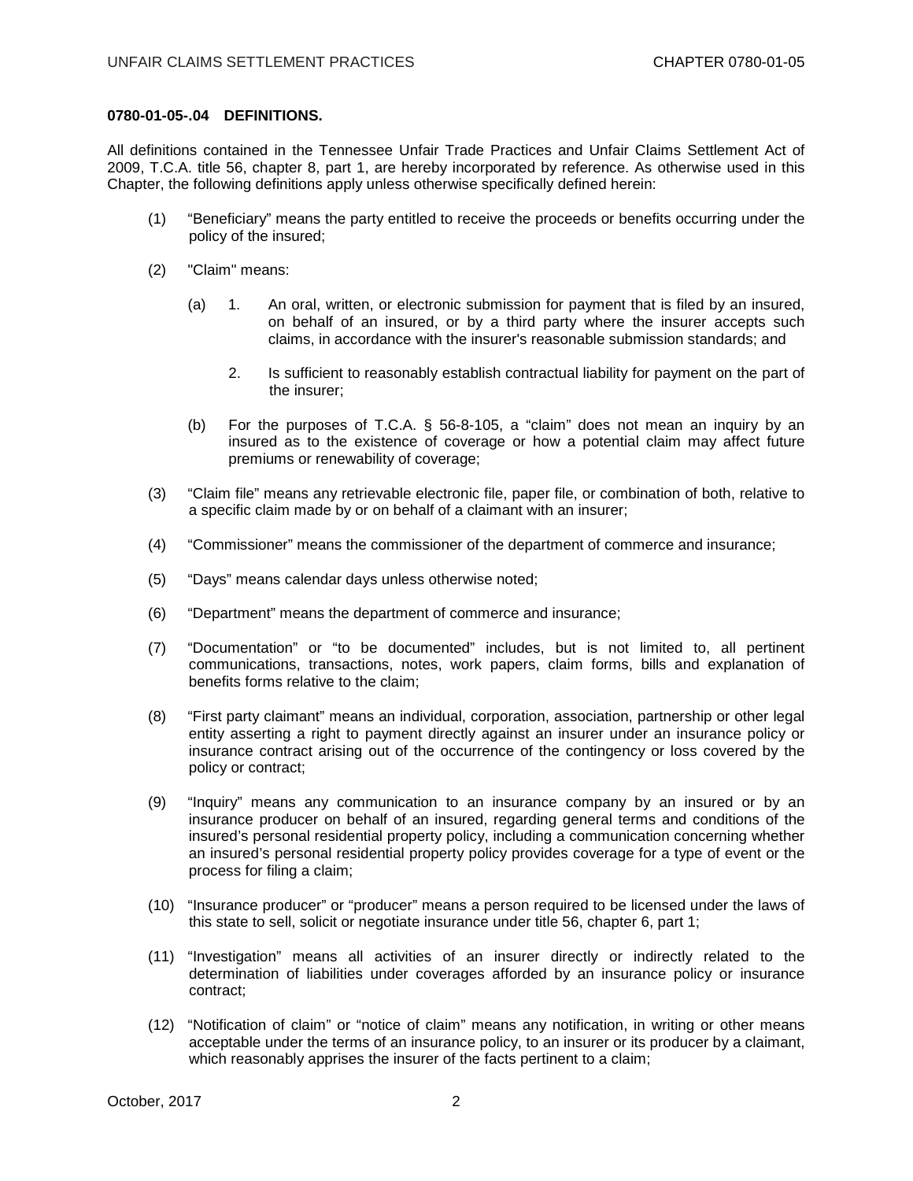## **0780-01-05-.04 DEFINITIONS.**

All definitions contained in the Tennessee Unfair Trade Practices and Unfair Claims Settlement Act of 2009, T.C.A. title 56, chapter 8, part 1, are hereby incorporated by reference. As otherwise used in this Chapter, the following definitions apply unless otherwise specifically defined herein:

- (1) "Beneficiary" means the party entitled to receive the proceeds or benefits occurring under the policy of the insured;
- (2) "Claim" means:
	- (a) 1. An oral, written, or electronic submission for payment that is filed by an insured, on behalf of an insured, or by a third party where the insurer accepts such claims, in accordance with the insurer's reasonable submission standards; and
		- 2. Is sufficient to reasonably establish contractual liability for payment on the part of the insurer;
	- (b) For the purposes of T.C.A. § 56-8-105, a "claim" does not mean an inquiry by an insured as to the existence of coverage or how a potential claim may affect future premiums or renewability of coverage;
- (3) "Claim file" means any retrievable electronic file, paper file, or combination of both, relative to a specific claim made by or on behalf of a claimant with an insurer;
- (4) "Commissioner" means the commissioner of the department of commerce and insurance;
- (5) "Days" means calendar days unless otherwise noted;
- (6) "Department" means the department of commerce and insurance;
- (7) "Documentation" or "to be documented" includes, but is not limited to, all pertinent communications, transactions, notes, work papers, claim forms, bills and explanation of benefits forms relative to the claim;
- (8) "First party claimant" means an individual, corporation, association, partnership or other legal entity asserting a right to payment directly against an insurer under an insurance policy or insurance contract arising out of the occurrence of the contingency or loss covered by the policy or contract;
- (9) "Inquiry" means any communication to an insurance company by an insured or by an insurance producer on behalf of an insured, regarding general terms and conditions of the insured's personal residential property policy, including a communication concerning whether an insured's personal residential property policy provides coverage for a type of event or the process for filing a claim;
- (10) "Insurance producer" or "producer" means a person required to be licensed under the laws of this state to sell, solicit or negotiate insurance under title 56, chapter 6, part 1;
- (11) "Investigation" means all activities of an insurer directly or indirectly related to the determination of liabilities under coverages afforded by an insurance policy or insurance contract;
- (12) "Notification of claim" or "notice of claim" means any notification, in writing or other means acceptable under the terms of an insurance policy, to an insurer or its producer by a claimant, which reasonably apprises the insurer of the facts pertinent to a claim;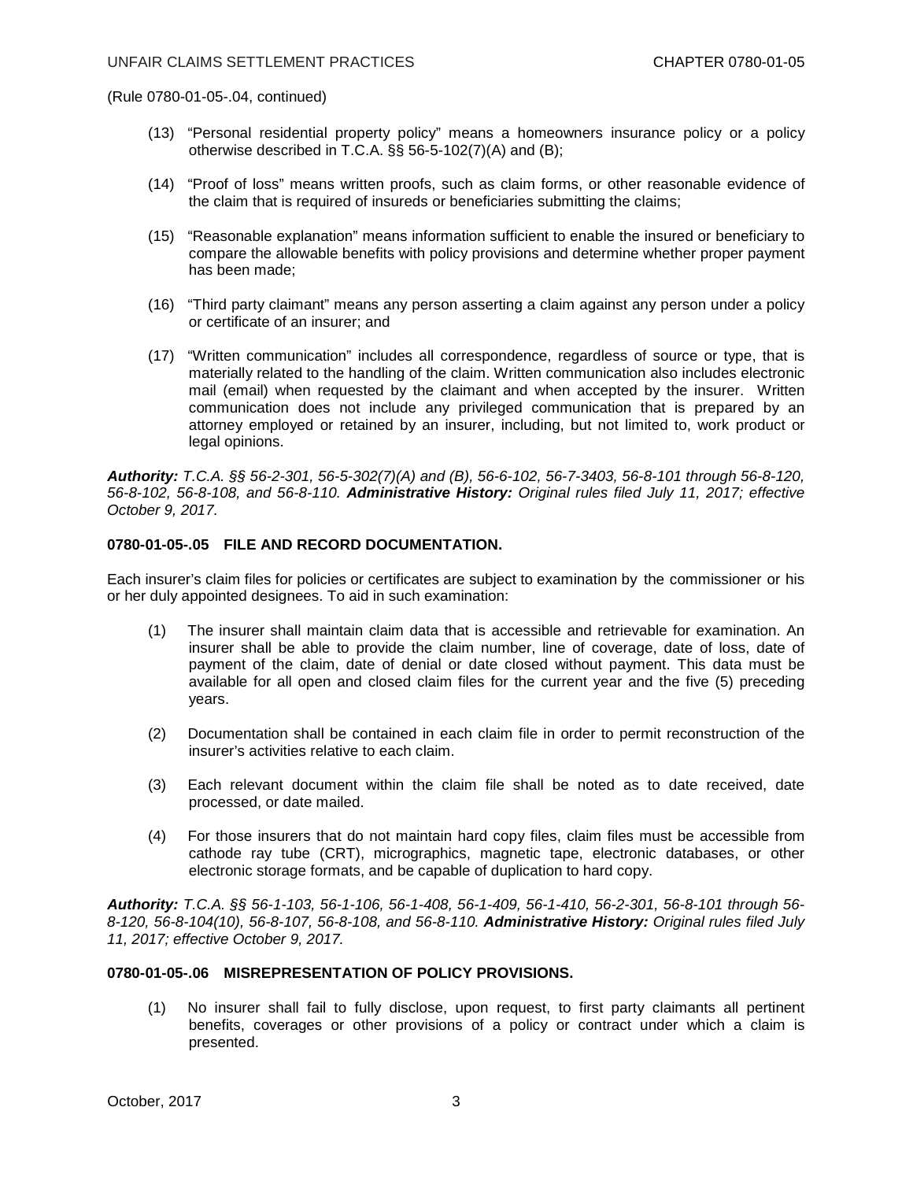(Rule 0780-01-05-.04, continued)

- (13) "Personal residential property policy" means a homeowners insurance policy or a policy otherwise described in T.C.A. §§ 56-5-102(7)(A) and (B);
- (14) "Proof of loss" means written proofs, such as claim forms, or other reasonable evidence of the claim that is required of insureds or beneficiaries submitting the claims;
- (15) "Reasonable explanation" means information sufficient to enable the insured or beneficiary to compare the allowable benefits with policy provisions and determine whether proper payment has been made;
- (16) "Third party claimant" means any person asserting a claim against any person under a policy or certificate of an insurer; and
- (17) "Written communication" includes all correspondence, regardless of source or type, that is materially related to the handling of the claim. Written communication also includes electronic mail (email) when requested by the claimant and when accepted by the insurer. Written communication does not include any privileged communication that is prepared by an attorney employed or retained by an insurer, including, but not limited to, work product or legal opinions.

*Authority: T.C.A. §§ 56-2-301, 56-5-302(7)(A) and (B), 56-6-102, 56-7-3403, 56-8-101 through 56-8-120, 56-8-102, 56-8-108, and 56-8-110. Administrative History: Original rules filed July 11, 2017; effective October 9, 2017.*

## **0780-01-05-.05 FILE AND RECORD DOCUMENTATION.**

Each insurer's claim files for policies or certificates are subject to examination by the commissioner or his or her duly appointed designees. To aid in such examination:

- (1) The insurer shall maintain claim data that is accessible and retrievable for examination. An insurer shall be able to provide the claim number, line of coverage, date of loss, date of payment of the claim, date of denial or date closed without payment. This data must be available for all open and closed claim files for the current year and the five (5) preceding years.
- (2) Documentation shall be contained in each claim file in order to permit reconstruction of the insurer's activities relative to each claim.
- (3) Each relevant document within the claim file shall be noted as to date received, date processed, or date mailed.
- (4) For those insurers that do not maintain hard copy files, claim files must be accessible from cathode ray tube (CRT), micrographics, magnetic tape, electronic databases, or other electronic storage formats, and be capable of duplication to hard copy.

*Authority: T.C.A. §§ 56-1-103, 56-1-106, 56-1-408, 56-1-409, 56-1-410, 56-2-301, 56-8-101 through 56- 8-120, 56-8-104(10), 56-8-107, 56-8-108, and 56-8-110. Administrative History: Original rules filed July 11, 2017; effective October 9, 2017.*

### **0780-01-05-.06 MISREPRESENTATION OF POLICY PROVISIONS.**

(1) No insurer shall fail to fully disclose, upon request, to first party claimants all pertinent benefits, coverages or other provisions of a policy or contract under which a claim is presented.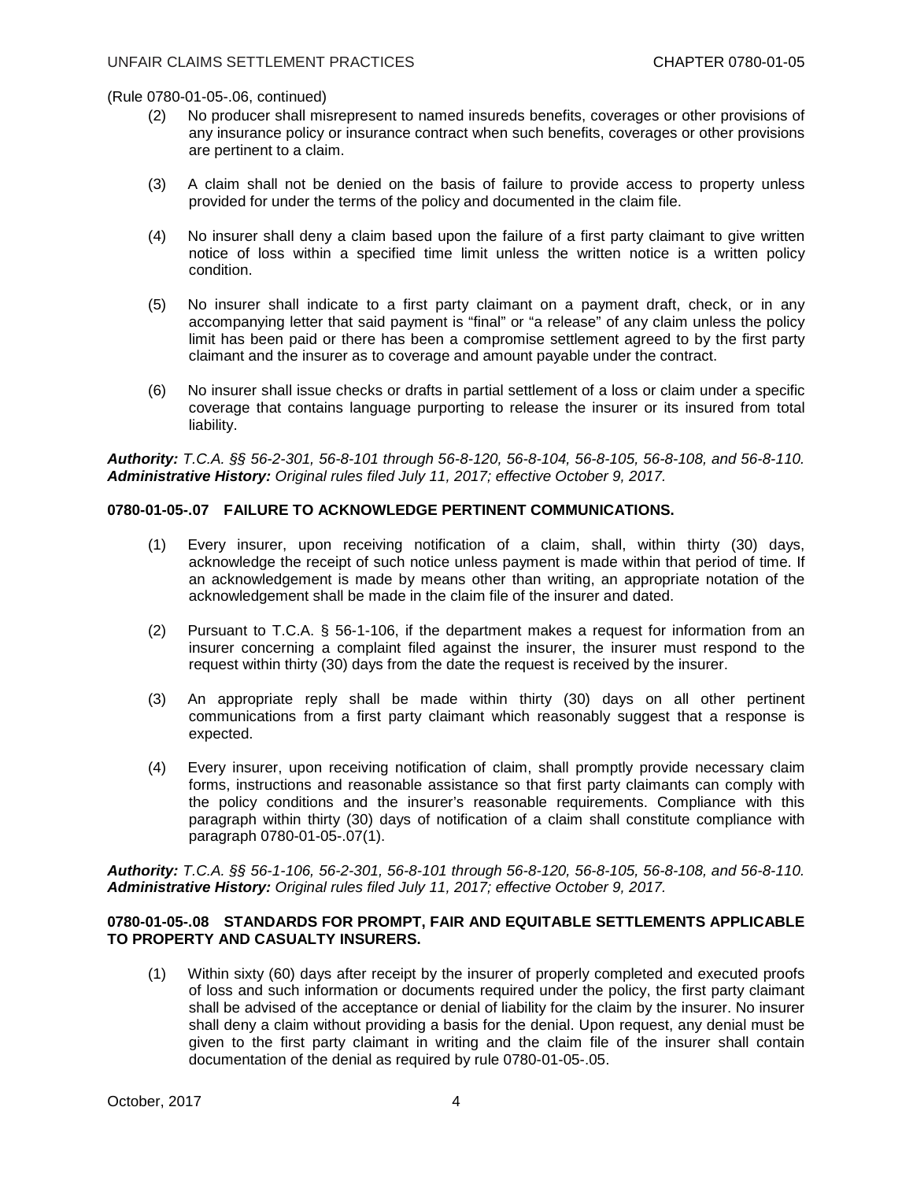(Rule 0780-01-05-.06, continued)

- (2) No producer shall misrepresent to named insureds benefits, coverages or other provisions of any insurance policy or insurance contract when such benefits, coverages or other provisions are pertinent to a claim.
- (3) A claim shall not be denied on the basis of failure to provide access to property unless provided for under the terms of the policy and documented in the claim file.
- (4) No insurer shall deny a claim based upon the failure of a first party claimant to give written notice of loss within a specified time limit unless the written notice is a written policy condition.
- (5) No insurer shall indicate to a first party claimant on a payment draft, check, or in any accompanying letter that said payment is "final" or "a release" of any claim unless the policy limit has been paid or there has been a compromise settlement agreed to by the first party claimant and the insurer as to coverage and amount payable under the contract.
- (6) No insurer shall issue checks or drafts in partial settlement of a loss or claim under a specific coverage that contains language purporting to release the insurer or its insured from total liability.

*Authority: T.C.A. §§ 56-2-301, 56-8-101 through 56-8-120, 56-8-104, 56-8-105, 56-8-108, and 56-8-110. Administrative History: Original rules filed July 11, 2017; effective October 9, 2017.*

## **0780-01-05-.07 FAILURE TO ACKNOWLEDGE PERTINENT COMMUNICATIONS.**

- (1) Every insurer, upon receiving notification of a claim, shall, within thirty (30) days, acknowledge the receipt of such notice unless payment is made within that period of time. If an acknowledgement is made by means other than writing, an appropriate notation of the acknowledgement shall be made in the claim file of the insurer and dated.
- (2) Pursuant to T.C.A. § 56-1-106, if the department makes a request for information from an insurer concerning a complaint filed against the insurer, the insurer must respond to the request within thirty (30) days from the date the request is received by the insurer.
- (3) An appropriate reply shall be made within thirty (30) days on all other pertinent communications from a first party claimant which reasonably suggest that a response is expected.
- (4) Every insurer, upon receiving notification of claim, shall promptly provide necessary claim forms, instructions and reasonable assistance so that first party claimants can comply with the policy conditions and the insurer's reasonable requirements. Compliance with this paragraph within thirty (30) days of notification of a claim shall constitute compliance with paragraph 0780-01-05-.07(1).

*Authority: T.C.A. §§ 56-1-106, 56-2-301, 56-8-101 through 56-8-120, 56-8-105, 56-8-108, and 56-8-110. Administrative History: Original rules filed July 11, 2017; effective October 9, 2017.*

## **0780-01-05-.08 STANDARDS FOR PROMPT, FAIR AND EQUITABLE SETTLEMENTS APPLICABLE TO PROPERTY AND CASUALTY INSURERS.**

(1) Within sixty (60) days after receipt by the insurer of properly completed and executed proofs of loss and such information or documents required under the policy, the first party claimant shall be advised of the acceptance or denial of liability for the claim by the insurer. No insurer shall deny a claim without providing a basis for the denial. Upon request, any denial must be given to the first party claimant in writing and the claim file of the insurer shall contain documentation of the denial as required by rule 0780-01-05-.05.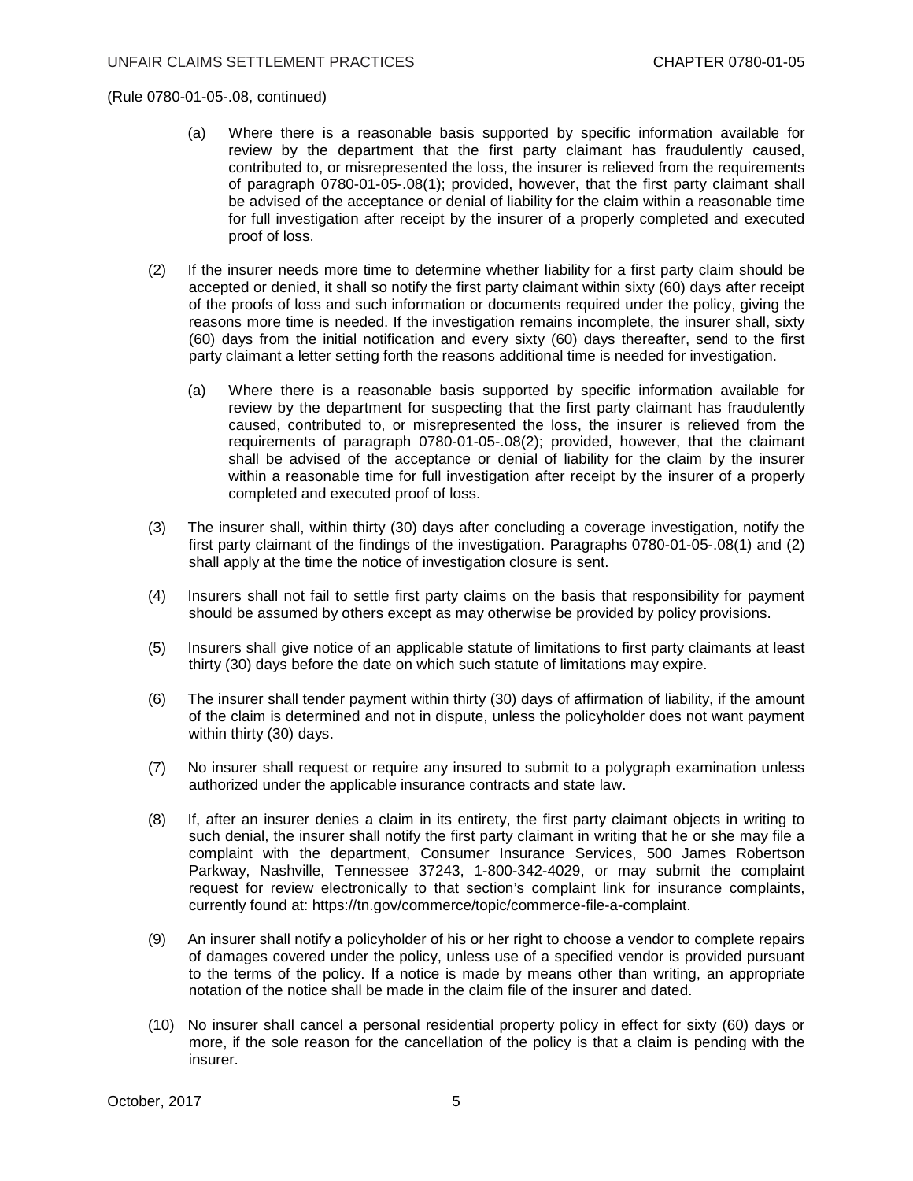(Rule 0780-01-05-.08, continued)

- (a) Where there is a reasonable basis supported by specific information available for review by the department that the first party claimant has fraudulently caused, contributed to, or misrepresented the loss, the insurer is relieved from the requirements of paragraph 0780-01-05-.08(1); provided, however, that the first party claimant shall be advised of the acceptance or denial of liability for the claim within a reasonable time for full investigation after receipt by the insurer of a properly completed and executed proof of loss.
- (2) If the insurer needs more time to determine whether liability for a first party claim should be accepted or denied, it shall so notify the first party claimant within sixty (60) days after receipt of the proofs of loss and such information or documents required under the policy, giving the reasons more time is needed. If the investigation remains incomplete, the insurer shall, sixty (60) days from the initial notification and every sixty (60) days thereafter, send to the first party claimant a letter setting forth the reasons additional time is needed for investigation.
	- (a) Where there is a reasonable basis supported by specific information available for review by the department for suspecting that the first party claimant has fraudulently caused, contributed to, or misrepresented the loss, the insurer is relieved from the requirements of paragraph 0780-01-05-.08(2); provided, however, that the claimant shall be advised of the acceptance or denial of liability for the claim by the insurer within a reasonable time for full investigation after receipt by the insurer of a properly completed and executed proof of loss.
- (3) The insurer shall, within thirty (30) days after concluding a coverage investigation, notify the first party claimant of the findings of the investigation. Paragraphs 0780-01-05-.08(1) and (2) shall apply at the time the notice of investigation closure is sent.
- (4) Insurers shall not fail to settle first party claims on the basis that responsibility for payment should be assumed by others except as may otherwise be provided by policy provisions.
- (5) Insurers shall give notice of an applicable statute of limitations to first party claimants at least thirty (30) days before the date on which such statute of limitations may expire.
- (6) The insurer shall tender payment within thirty (30) days of affirmation of liability, if the amount of the claim is determined and not in dispute, unless the policyholder does not want payment within thirty (30) days.
- (7) No insurer shall request or require any insured to submit to a polygraph examination unless authorized under the applicable insurance contracts and state law.
- (8) If, after an insurer denies a claim in its entirety, the first party claimant objects in writing to such denial, the insurer shall notify the first party claimant in writing that he or she may file a complaint with the department, Consumer Insurance Services, 500 James Robertson Parkway, Nashville, Tennessee 37243, 1-800-342-4029, or may submit the complaint request for review electronically to that section's complaint link for insurance complaints, currently found at: https://tn.gov/commerce/topic/commerce-file-a-complaint.
- (9) An insurer shall notify a policyholder of his or her right to choose a vendor to complete repairs of damages covered under the policy, unless use of a specified vendor is provided pursuant to the terms of the policy. If a notice is made by means other than writing, an appropriate notation of the notice shall be made in the claim file of the insurer and dated.
- (10) No insurer shall cancel a personal residential property policy in effect for sixty (60) days or more, if the sole reason for the cancellation of the policy is that a claim is pending with the insurer.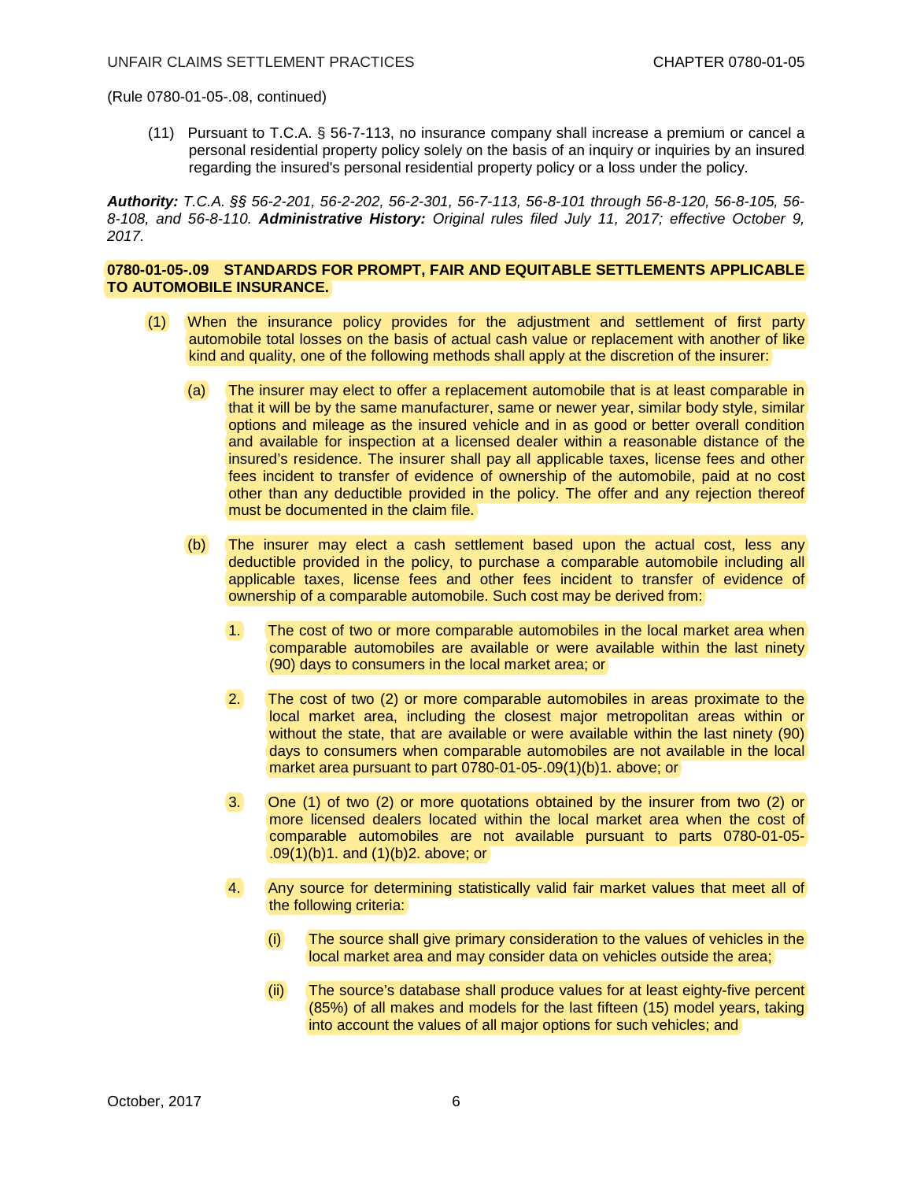(Rule 0780-01-05-.08, continued)

(11) Pursuant to T.C.A. § 56-7-113, no insurance company shall increase a premium or cancel a personal residential property policy solely on the basis of an inquiry or inquiries by an insured regarding the insured's personal residential property policy or a loss under the policy.

*Authority: T.C.A. §§ 56-2-201, 56-2-202, 56-2-301, 56-7-113, 56-8-101 through 56-8-120, 56-8-105, 56- 8-108, and 56-8-110. Administrative History: Original rules filed July 11, 2017; effective October 9, 2017.*

## **0780-01-05-.09 STANDARDS FOR PROMPT, FAIR AND EQUITABLE SETTLEMENTS APPLICABLE TO AUTOMOBILE INSURANCE.**

- (1) When the insurance policy provides for the adjustment and settlement of first party automobile total losses on the basis of actual cash value or replacement with another of like kind and quality, one of the following methods shall apply at the discretion of the insurer:
	- (a) The insurer may elect to offer a replacement automobile that is at least comparable in that it will be by the same manufacturer, same or newer year, similar body style, similar options and mileage as the insured vehicle and in as good or better overall condition and available for inspection at a licensed dealer within a reasonable distance of the insured's residence. The insurer shall pay all applicable taxes, license fees and other fees incident to transfer of evidence of ownership of the automobile, paid at no cost other than any deductible provided in the policy. The offer and any rejection thereof must be documented in the claim file.
	- (b) The insurer may elect a cash settlement based upon the actual cost, less any deductible provided in the policy, to purchase a comparable automobile including all applicable taxes, license fees and other fees incident to transfer of evidence of ownership of a comparable automobile. Such cost may be derived from:
		- 1. The cost of two or more comparable automobiles in the local market area when comparable automobiles are available or were available within the last ninety (90) days to consumers in the local market area; or
		- 2. The cost of two (2) or more comparable automobiles in areas proximate to the local market area, including the closest major metropolitan areas within or without the state, that are available or were available within the last ninety (90) days to consumers when comparable automobiles are not available in the local market area pursuant to part 0780-01-05-.09(1)(b)1. above; or
		- 3. One (1) of two (2) or more quotations obtained by the insurer from two (2) or more licensed dealers located within the local market area when the cost of comparable automobiles are not available pursuant to parts 0780-01-05- .09(1)(b)1. and (1)(b)2. above; or
		- 4. Any source for determining statistically valid fair market values that meet all of the following criteria:
			- (i) The source shall give primary consideration to the values of vehicles in the local market area and may consider data on vehicles outside the area;
			- (ii) The source's database shall produce values for at least eighty-five percent (85%) of all makes and models for the last fifteen (15) model years, taking into account the values of all major options for such vehicles; and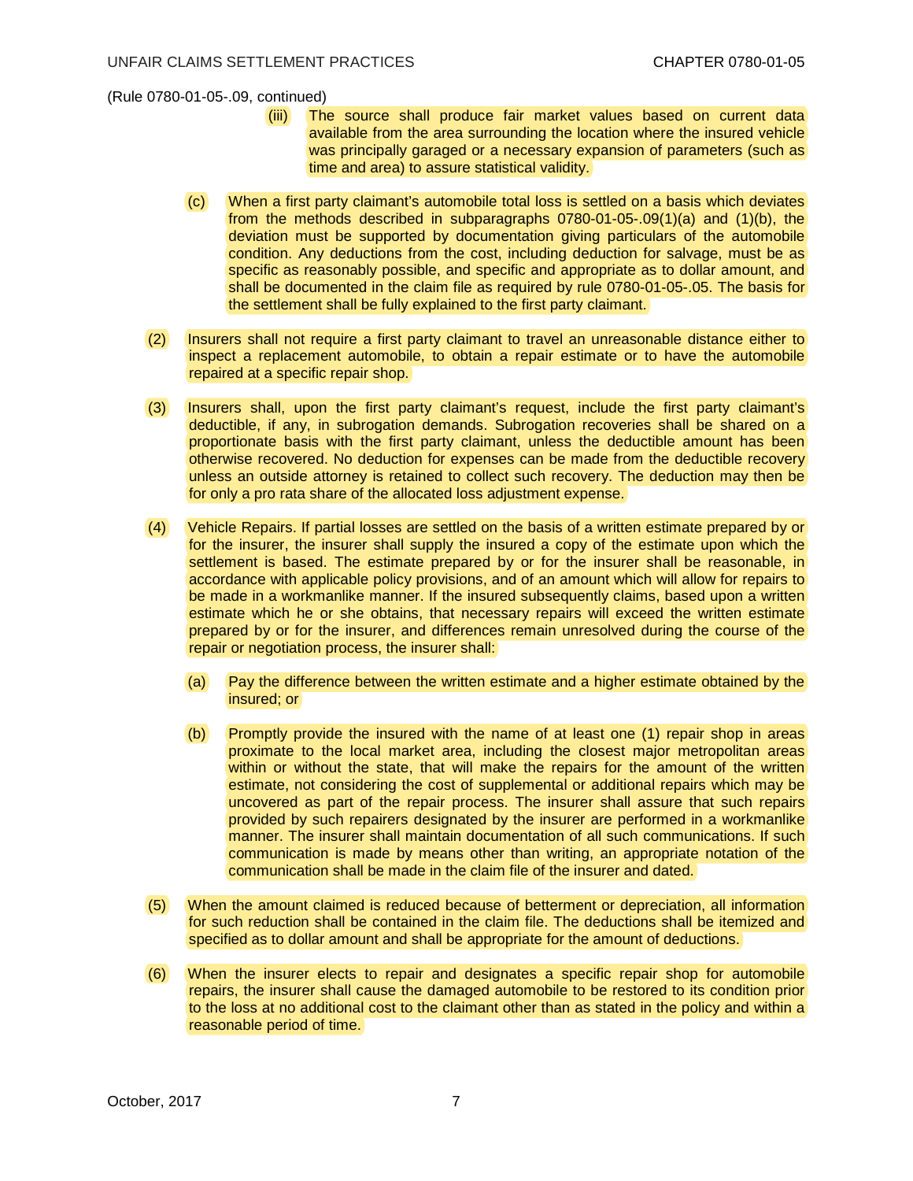(Rule 0780-01-05-.09, continued)

- (iii) The source shall produce fair market values based on current data available from the area surrounding the location where the insured vehicle was principally garaged or a necessary expansion of parameters (such as time and area) to assure statistical validity.
- (c) When a first party claimant's automobile total loss is settled on a basis which deviates from the methods described in subparagraphs 0780-01-05-.09(1)(a) and (1)(b), the deviation must be supported by documentation giving particulars of the automobile condition. Any deductions from the cost, including deduction for salvage, must be as specific as reasonably possible, and specific and appropriate as to dollar amount, and shall be documented in the claim file as required by rule 0780-01-05-.05. The basis for the settlement shall be fully explained to the first party claimant.
- (2) Insurers shall not require a first party claimant to travel an unreasonable distance either to inspect a replacement automobile, to obtain a repair estimate or to have the automobile repaired at a specific repair shop.
- (3) Insurers shall, upon the first party claimant's request, include the first party claimant's deductible, if any, in subrogation demands. Subrogation recoveries shall be shared on a proportionate basis with the first party claimant, unless the deductible amount has been otherwise recovered. No deduction for expenses can be made from the deductible recovery unless an outside attorney is retained to collect such recovery. The deduction may then be for only a pro rata share of the allocated loss adjustment expense.
- (4) Vehicle Repairs. If partial losses are settled on the basis of a written estimate prepared by or for the insurer, the insurer shall supply the insured a copy of the estimate upon which the settlement is based. The estimate prepared by or for the insurer shall be reasonable, in accordance with applicable policy provisions, and of an amount which will allow for repairs to be made in a workmanlike manner. If the insured subsequently claims, based upon a written estimate which he or she obtains, that necessary repairs will exceed the written estimate prepared by or for the insurer, and differences remain unresolved during the course of the repair or negotiation process, the insurer shall:
	- (a) Pay the difference between the written estimate and a higher estimate obtained by the insured; or
	- (b) Promptly provide the insured with the name of at least one (1) repair shop in areas proximate to the local market area, including the closest major metropolitan areas within or without the state, that will make the repairs for the amount of the written estimate, not considering the cost of supplemental or additional repairs which may be uncovered as part of the repair process. The insurer shall assure that such repairs provided by such repairers designated by the insurer are performed in a workmanlike manner. The insurer shall maintain documentation of all such communications. If such communication is made by means other than writing, an appropriate notation of the communication shall be made in the claim file of the insurer and dated.
- (5) When the amount claimed is reduced because of betterment or depreciation, all information for such reduction shall be contained in the claim file. The deductions shall be itemized and specified as to dollar amount and shall be appropriate for the amount of deductions.
- (6) When the insurer elects to repair and designates a specific repair shop for automobile repairs, the insurer shall cause the damaged automobile to be restored to its condition prior to the loss at no additional cost to the claimant other than as stated in the policy and within a reasonable period of time.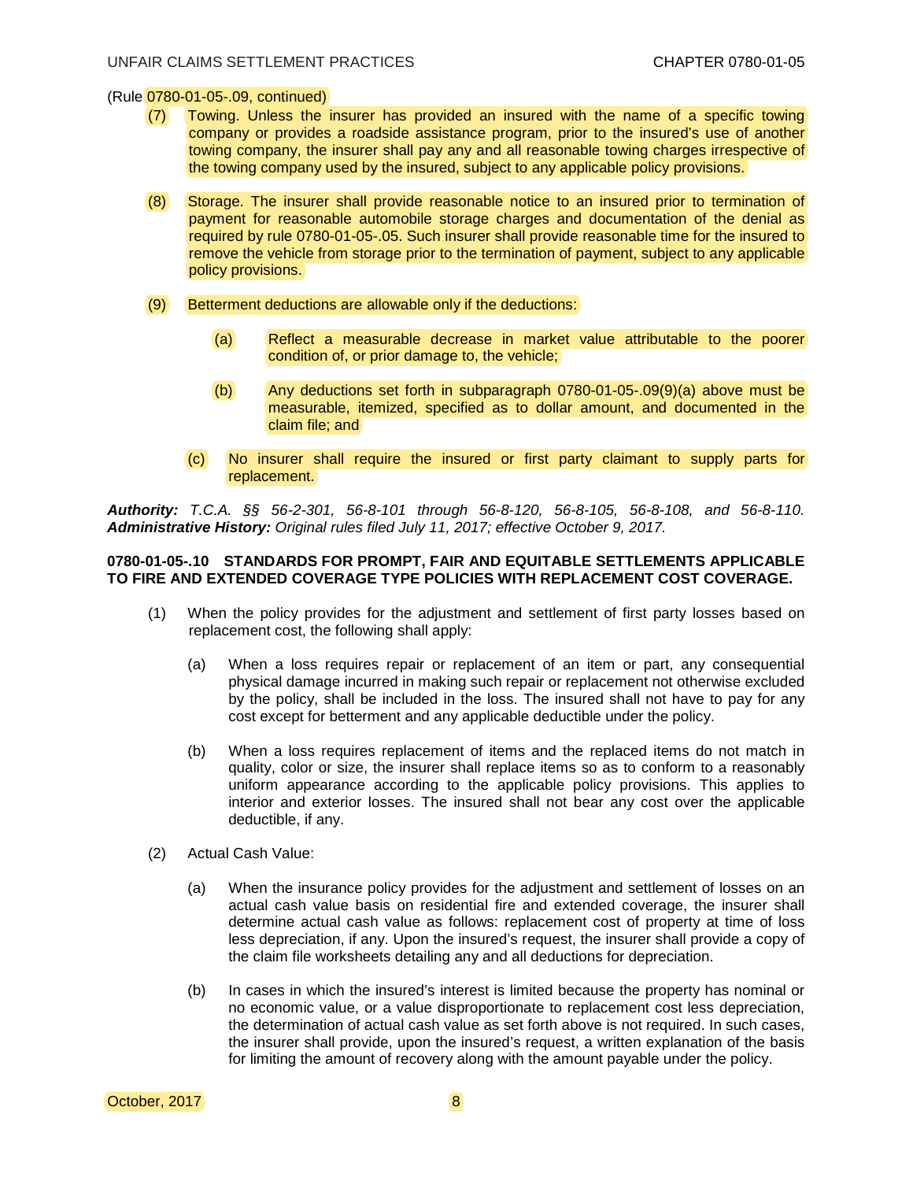(Rule 0780-01-05-.09, continued)

- (7) Towing. Unless the insurer has provided an insured with the name of a specific towing company or provides a roadside assistance program, prior to the insured's use of another towing company, the insurer shall pay any and all reasonable towing charges irrespective of the towing company used by the insured, subject to any applicable policy provisions.
- (8) Storage. The insurer shall provide reasonable notice to an insured prior to termination of payment for reasonable automobile storage charges and documentation of the denial as required by rule 0780-01-05-.05. Such insurer shall provide reasonable time for the insured to remove the vehicle from storage prior to the termination of payment, subject to any applicable policy provisions.
- (9) Betterment deductions are allowable only if the deductions:
	- (a) Reflect a measurable decrease in market value attributable to the poorer condition of, or prior damage to, the vehicle;
	- (b) Any deductions set forth in subparagraph 0780-01-05-.09(9)(a) above must be measurable, itemized, specified as to dollar amount, and documented in the claim file; and
	- (c) No insurer shall require the insured or first party claimant to supply parts for replacement.

*Authority: T.C.A. §§ 56-2-301, 56-8-101 through 56-8-120, 56-8-105, 56-8-108, and 56-8-110. Administrative History: Original rules filed July 11, 2017; effective October 9, 2017.*

#### **0780-01-05-.10 STANDARDS FOR PROMPT, FAIR AND EQUITABLE SETTLEMENTS APPLICABLE TO FIRE AND EXTENDED COVERAGE TYPE POLICIES WITH REPLACEMENT COST COVERAGE.**

- (1) When the policy provides for the adjustment and settlement of first party losses based on replacement cost, the following shall apply:
	- (a) When a loss requires repair or replacement of an item or part, any consequential physical damage incurred in making such repair or replacement not otherwise excluded by the policy, shall be included in the loss. The insured shall not have to pay for any cost except for betterment and any applicable deductible under the policy.
	- (b) When a loss requires replacement of items and the replaced items do not match in quality, color or size, the insurer shall replace items so as to conform to a reasonably uniform appearance according to the applicable policy provisions. This applies to interior and exterior losses. The insured shall not bear any cost over the applicable deductible, if any.
- (2) Actual Cash Value:
	- (a) When the insurance policy provides for the adjustment and settlement of losses on an actual cash value basis on residential fire and extended coverage, the insurer shall determine actual cash value as follows: replacement cost of property at time of loss less depreciation, if any. Upon the insured's request, the insurer shall provide a copy of the claim file worksheets detailing any and all deductions for depreciation.
	- (b) In cases in which the insured's interest is limited because the property has nominal or no economic value, or a value disproportionate to replacement cost less depreciation, the determination of actual cash value as set forth above is not required. In such cases, the insurer shall provide, upon the insured's request, a written explanation of the basis for limiting the amount of recovery along with the amount payable under the policy.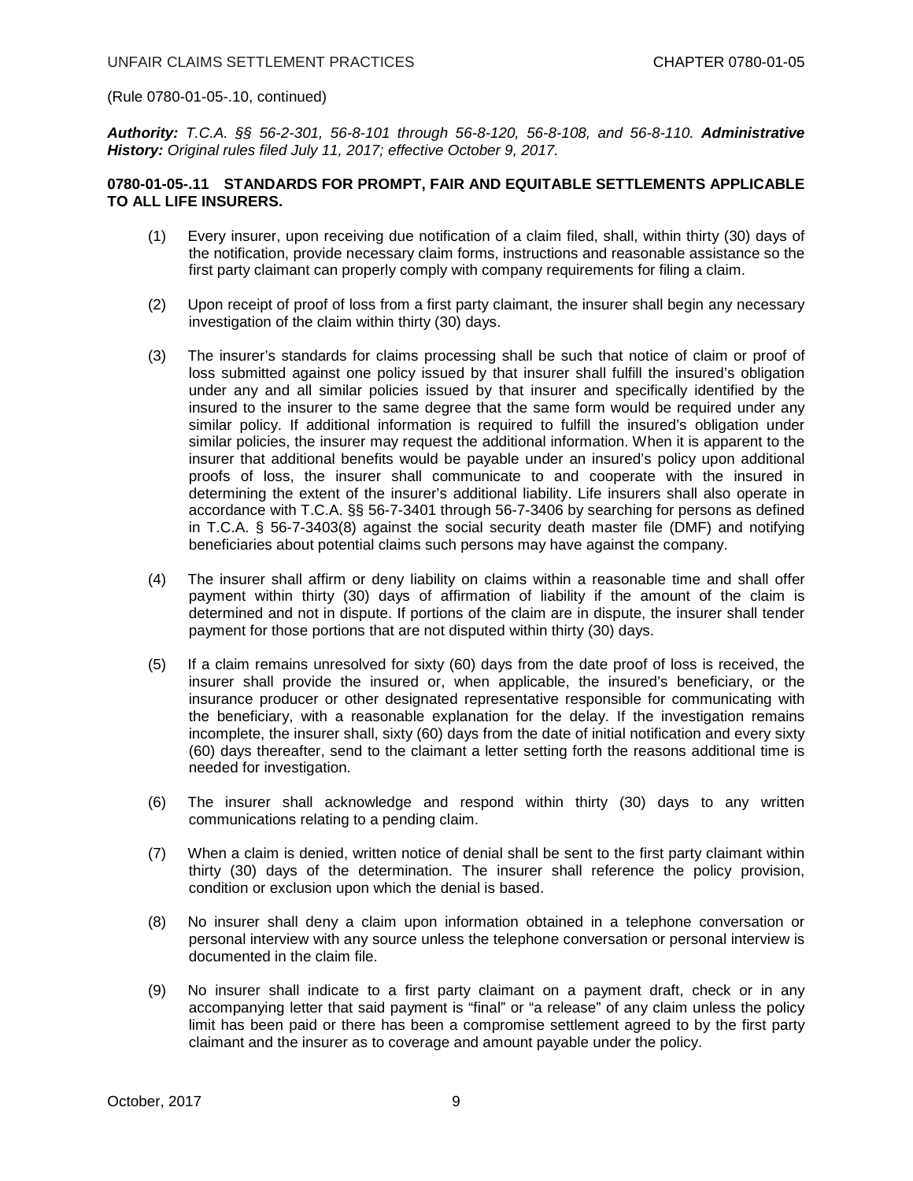(Rule 0780-01-05-.10, continued)

*Authority: T.C.A. §§ 56-2-301, 56-8-101 through 56-8-120, 56-8-108, and 56-8-110. Administrative History: Original rules filed July 11, 2017; effective October 9, 2017.*

## **0780-01-05-.11 STANDARDS FOR PROMPT, FAIR AND EQUITABLE SETTLEMENTS APPLICABLE TO ALL LIFE INSURERS.**

- (1) Every insurer, upon receiving due notification of a claim filed, shall, within thirty (30) days of the notification, provide necessary claim forms, instructions and reasonable assistance so the first party claimant can properly comply with company requirements for filing a claim.
- (2) Upon receipt of proof of loss from a first party claimant, the insurer shall begin any necessary investigation of the claim within thirty (30) days.
- (3) The insurer's standards for claims processing shall be such that notice of claim or proof of loss submitted against one policy issued by that insurer shall fulfill the insured's obligation under any and all similar policies issued by that insurer and specifically identified by the insured to the insurer to the same degree that the same form would be required under any similar policy. If additional information is required to fulfill the insured's obligation under similar policies, the insurer may request the additional information. When it is apparent to the insurer that additional benefits would be payable under an insured's policy upon additional proofs of loss, the insurer shall communicate to and cooperate with the insured in determining the extent of the insurer's additional liability. Life insurers shall also operate in accordance with T.C.A. §§ 56-7-3401 through 56-7-3406 by searching for persons as defined in T.C.A. § 56-7-3403(8) against the social security death master file (DMF) and notifying beneficiaries about potential claims such persons may have against the company.
- (4) The insurer shall affirm or deny liability on claims within a reasonable time and shall offer payment within thirty (30) days of affirmation of liability if the amount of the claim is determined and not in dispute. If portions of the claim are in dispute, the insurer shall tender payment for those portions that are not disputed within thirty (30) days.
- (5) If a claim remains unresolved for sixty (60) days from the date proof of loss is received, the insurer shall provide the insured or, when applicable, the insured's beneficiary, or the insurance producer or other designated representative responsible for communicating with the beneficiary, with a reasonable explanation for the delay. If the investigation remains incomplete, the insurer shall, sixty (60) days from the date of initial notification and every sixty (60) days thereafter, send to the claimant a letter setting forth the reasons additional time is needed for investigation.
- (6) The insurer shall acknowledge and respond within thirty (30) days to any written communications relating to a pending claim.
- (7) When a claim is denied, written notice of denial shall be sent to the first party claimant within thirty (30) days of the determination. The insurer shall reference the policy provision, condition or exclusion upon which the denial is based.
- (8) No insurer shall deny a claim upon information obtained in a telephone conversation or personal interview with any source unless the telephone conversation or personal interview is documented in the claim file.
- (9) No insurer shall indicate to a first party claimant on a payment draft, check or in any accompanying letter that said payment is "final" or "a release" of any claim unless the policy limit has been paid or there has been a compromise settlement agreed to by the first party claimant and the insurer as to coverage and amount payable under the policy.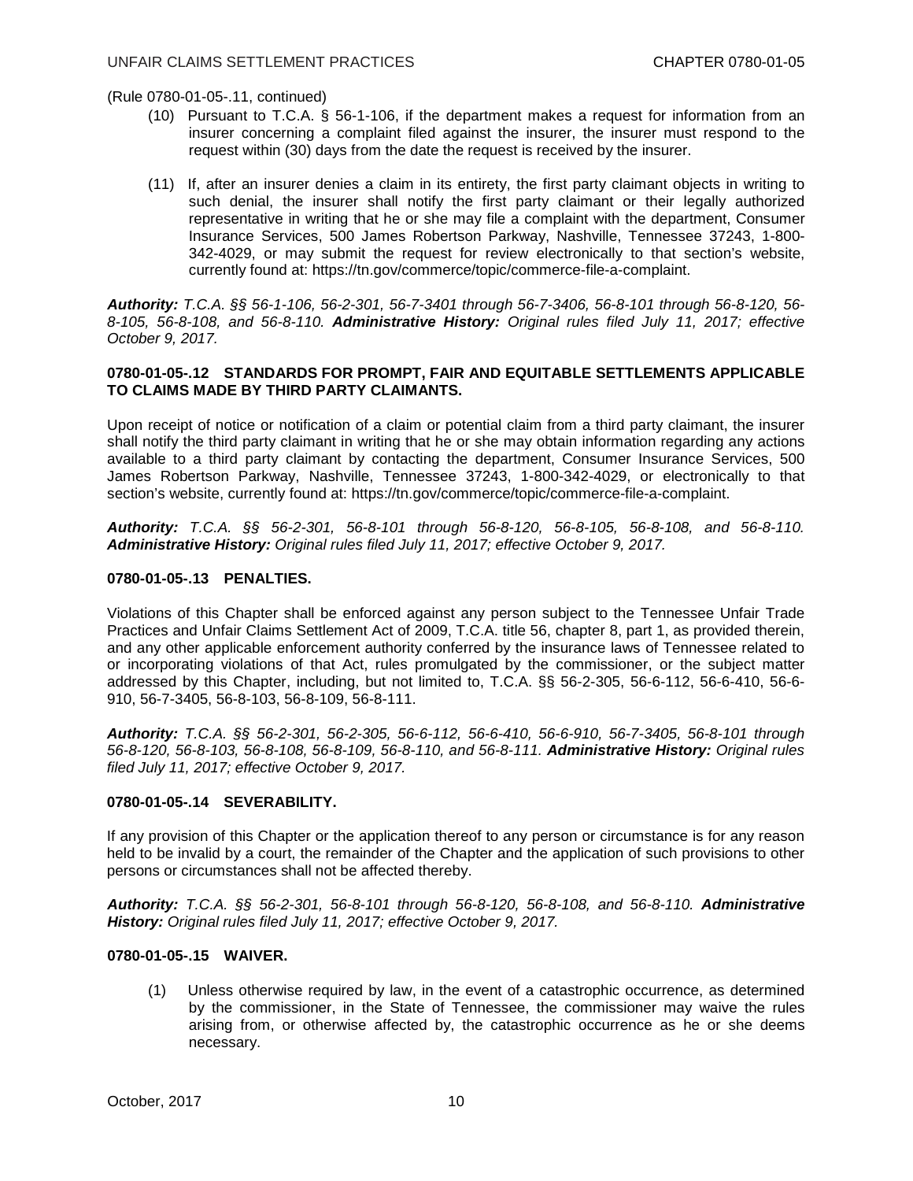(Rule 0780-01-05-.11, continued)

- (10) Pursuant to T.C.A. § 56-1-106, if the department makes a request for information from an insurer concerning a complaint filed against the insurer, the insurer must respond to the request within (30) days from the date the request is received by the insurer.
- (11) If, after an insurer denies a claim in its entirety, the first party claimant objects in writing to such denial, the insurer shall notify the first party claimant or their legally authorized representative in writing that he or she may file a complaint with the department, Consumer Insurance Services, 500 James Robertson Parkway, Nashville, Tennessee 37243, 1-800- 342-4029, or may submit the request for review electronically to that section's website, currently found at: https://tn.gov/commerce/topic/commerce-file-a-complaint.

*Authority: T.C.A. §§ 56-1-106, 56-2-301, 56-7-3401 through 56-7-3406, 56-8-101 through 56-8-120, 56- 8-105, 56-8-108, and 56-8-110. Administrative History: Original rules filed July 11, 2017; effective October 9, 2017.*

## **0780-01-05-.12 STANDARDS FOR PROMPT, FAIR AND EQUITABLE SETTLEMENTS APPLICABLE TO CLAIMS MADE BY THIRD PARTY CLAIMANTS.**

Upon receipt of notice or notification of a claim or potential claim from a third party claimant, the insurer shall notify the third party claimant in writing that he or she may obtain information regarding any actions available to a third party claimant by contacting the department, Consumer Insurance Services, 500 James Robertson Parkway, Nashville, Tennessee 37243, 1-800-342-4029, or electronically to that section's website, currently found at: https://tn.gov/commerce/topic/commerce-file-a-complaint.

*Authority: T.C.A. §§ 56-2-301, 56-8-101 through 56-8-120, 56-8-105, 56-8-108, and 56-8-110. Administrative History: Original rules filed July 11, 2017; effective October 9, 2017.*

### **0780-01-05-.13 PENALTIES.**

Violations of this Chapter shall be enforced against any person subject to the Tennessee Unfair Trade Practices and Unfair Claims Settlement Act of 2009, T.C.A. title 56, chapter 8, part 1, as provided therein, and any other applicable enforcement authority conferred by the insurance laws of Tennessee related to or incorporating violations of that Act, rules promulgated by the commissioner, or the subject matter addressed by this Chapter, including, but not limited to, T.C.A. §§ 56-2-305, 56-6-112, 56-6-410, 56-6- 910, 56-7-3405, 56-8-103, 56-8-109, 56-8-111.

*Authority: T.C.A. §§ 56-2-301, 56-2-305, 56-6-112, 56-6-410, 56-6-910, 56-7-3405, 56-8-101 through 56-8-120, 56-8-103, 56-8-108, 56-8-109, 56-8-110, and 56-8-111. Administrative History: Original rules filed July 11, 2017; effective October 9, 2017.*

# **0780-01-05-.14 SEVERABILITY.**

If any provision of this Chapter or the application thereof to any person or circumstance is for any reason held to be invalid by a court, the remainder of the Chapter and the application of such provisions to other persons or circumstances shall not be affected thereby.

*Authority: T.C.A. §§ 56-2-301, 56-8-101 through 56-8-120, 56-8-108, and 56-8-110. Administrative History: Original rules filed July 11, 2017; effective October 9, 2017.*

## **0780-01-05-.15 WAIVER.**

(1) Unless otherwise required by law, in the event of a catastrophic occurrence, as determined by the commissioner, in the State of Tennessee, the commissioner may waive the rules arising from, or otherwise affected by, the catastrophic occurrence as he or she deems necessary.